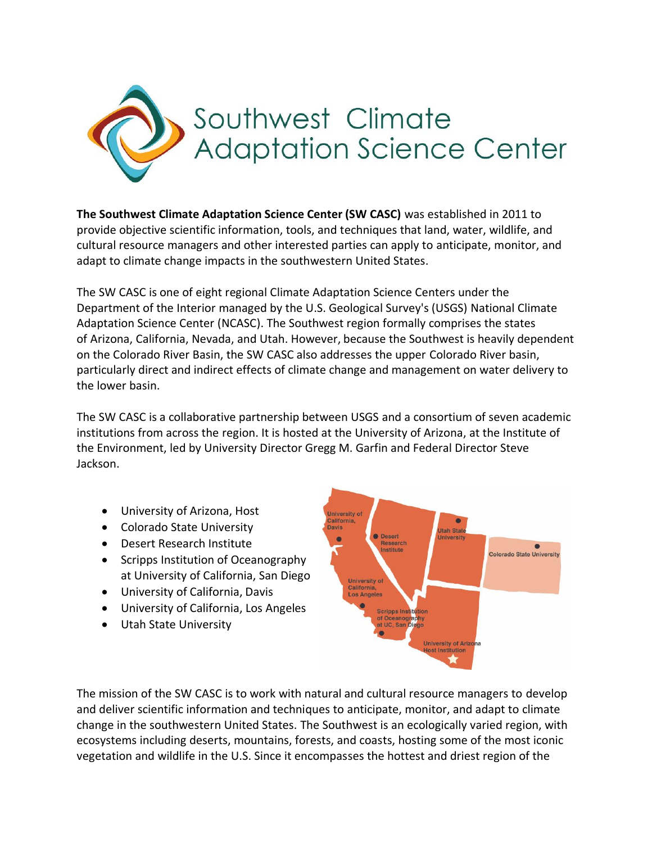

**The Southwest Climate Adaptation Science Center (SW CASC)** was established in 2011 to provide objective scientific information, tools, and techniques that land, water, wildlife, and cultural resource managers and other interested parties can apply to anticipate, monitor, and adapt to climate change impacts in the southwestern United States.

The SW CASC is one of eight regional Climate Adaptation Science Centers under the Department of the Interior managed by the U.S. Geological Survey's (USGS) National Climate Adaptation Science Center (NCASC). The Southwest region formally comprises the states of Arizona, California, Nevada, and Utah. However, because the Southwest is heavily dependent on the Colorado River Basin, the SW CASC also addresses the upper Colorado River basin, particularly direct and indirect effects of climate change and management on water delivery to the lower basin.

The SW CASC is a collaborative partnership between USGS and a consortium of seven academic institutions from across the region. It is hosted at the University of Arizona, at the Institute of the Environment, led by University Director Gregg M. Garfin and Federal Director Steve Jackson.

- University of Arizona, Host
- Colorado State University
- Desert Research Institute
- Scripps Institution of Oceanography at University of California, San Diego
- University of California, Davis
- University of California, Los Angeles
- Utah State University



The mission of the SW CASC is to work with natural and cultural resource managers to develop and deliver scientific information and techniques to anticipate, monitor, and adapt to climate change in the southwestern United States. The Southwest is an ecologically varied region, with ecosystems including deserts, mountains, forests, and coasts, hosting some of the most iconic vegetation and wildlife in the U.S. Since it encompasses the hottest and driest region of the